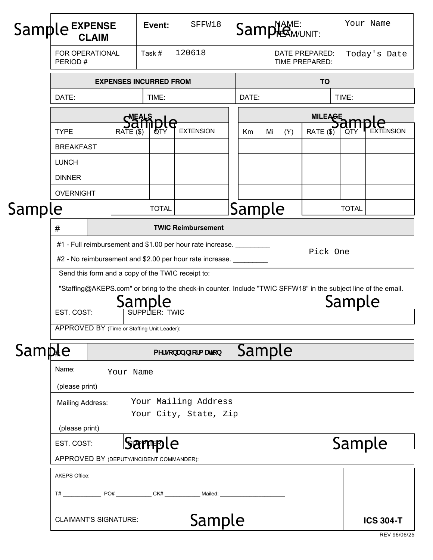| Sampl  | le EXPENSE<br><b>CLAIM</b>                                                                                               |                               |              | SFFW18<br>Event: |                       |  | Sample MAME:                     |  |           | Your Name               |                  |  |
|--------|--------------------------------------------------------------------------------------------------------------------------|-------------------------------|--------------|------------------|-----------------------|--|----------------------------------|--|-----------|-------------------------|------------------|--|
|        | FOR OPERATIONAL<br>PERIOD#                                                                                               |                               |              | 120618<br>Task#  |                       |  | DATE PREPARED:<br>TIME PREPARED: |  |           |                         | Today's Date     |  |
|        |                                                                                                                          | <b>EXPENSES INCURRED FROM</b> |              |                  |                       |  | <b>TO</b>                        |  |           |                         |                  |  |
|        | DATE:                                                                                                                    |                               |              | TIME:            |                       |  | DATE:<br>TIME:                   |  |           |                         |                  |  |
|        | MEALS                                                                                                                    |                               |              |                  |                       |  | <b>MILEAGE</b>                   |  |           |                         |                  |  |
|        | <b>TYPE</b>                                                                                                              |                               | RATE (\$)    | OTY              | <b>EXTENSION</b>      |  | Mi<br>Km<br>(Y)                  |  | RATE (\$) | <b>EXTENSION</b><br>QIY |                  |  |
|        | <b>BREAKFAST</b>                                                                                                         |                               |              |                  |                       |  |                                  |  |           |                         |                  |  |
|        | <b>LUNCH</b>                                                                                                             |                               |              |                  |                       |  |                                  |  |           |                         |                  |  |
|        | <b>DINNER</b>                                                                                                            |                               |              |                  |                       |  |                                  |  |           |                         |                  |  |
|        | <b>OVERNIGHT</b>                                                                                                         |                               |              |                  |                       |  |                                  |  |           |                         |                  |  |
| Sample |                                                                                                                          |                               | <b>TOTAL</b> |                  |                       |  | Sample                           |  |           | <b>TOTAL</b>            |                  |  |
|        | <b>TWIC Reimbursement</b><br>$\#$                                                                                        |                               |              |                  |                       |  |                                  |  |           |                         |                  |  |
|        | #1 - Full reimbursement and \$1.00 per hour rate increase.                                                               |                               |              |                  |                       |  |                                  |  |           |                         |                  |  |
|        | Pick One<br>#2 - No reimbursement and \$2.00 per hour rate increase.                                                     |                               |              |                  |                       |  |                                  |  |           |                         |                  |  |
|        | Send this form and a copy of the TWIC receipt to:                                                                        |                               |              |                  |                       |  |                                  |  |           |                         |                  |  |
|        | "Staffing@AKEPS.com" or bring to the check-in counter. Include "TWIC SFFW18" in the subject line of the email.<br>Sample |                               |              |                  |                       |  |                                  |  |           | Sample                  |                  |  |
|        | EST. COST:                                                                                                               |                               |              | SUPPLIER: TWIC   |                       |  |                                  |  |           |                         |                  |  |
|        | APPROVED BY (Time or Staffing Unit Leader):                                                                              |                               |              |                  |                       |  |                                  |  |           |                         |                  |  |
| Sample |                                                                                                                          |                               |              |                  | PYfgcbU =b Zefa Un]cb |  | Sample                           |  |           |                         |                  |  |
|        | Name:<br>Your Name                                                                                                       |                               |              |                  |                       |  |                                  |  |           |                         |                  |  |
|        | (please print)                                                                                                           |                               |              |                  |                       |  |                                  |  |           |                         |                  |  |
|        | Mailing Address:                                                                                                         | Your Mailing Address          |              |                  |                       |  |                                  |  |           |                         |                  |  |
|        |                                                                                                                          |                               |              |                  | Your City, State, Zip |  |                                  |  |           |                         |                  |  |
|        |                                                                                                                          | (please print)                |              |                  |                       |  |                                  |  |           |                         |                  |  |
|        | <u>Sample</u><br>EST. COST:                                                                                              |                               |              |                  |                       |  | <u>Sample</u>                    |  |           |                         |                  |  |
|        | APPROVED BY (DEPUTY/INCIDENT COMMANDER):                                                                                 |                               |              |                  |                       |  |                                  |  |           |                         |                  |  |
|        | <b>AKEPS Office:</b>                                                                                                     |                               |              |                  |                       |  |                                  |  |           |                         |                  |  |
|        | T# PO# CK# Mailed:                                                                                                       |                               |              |                  |                       |  |                                  |  |           |                         |                  |  |
|        | Sample<br><b>CLAIMANT'S SIGNATURE:</b>                                                                                   |                               |              |                  |                       |  |                                  |  |           |                         | <b>ICS 304-T</b> |  |